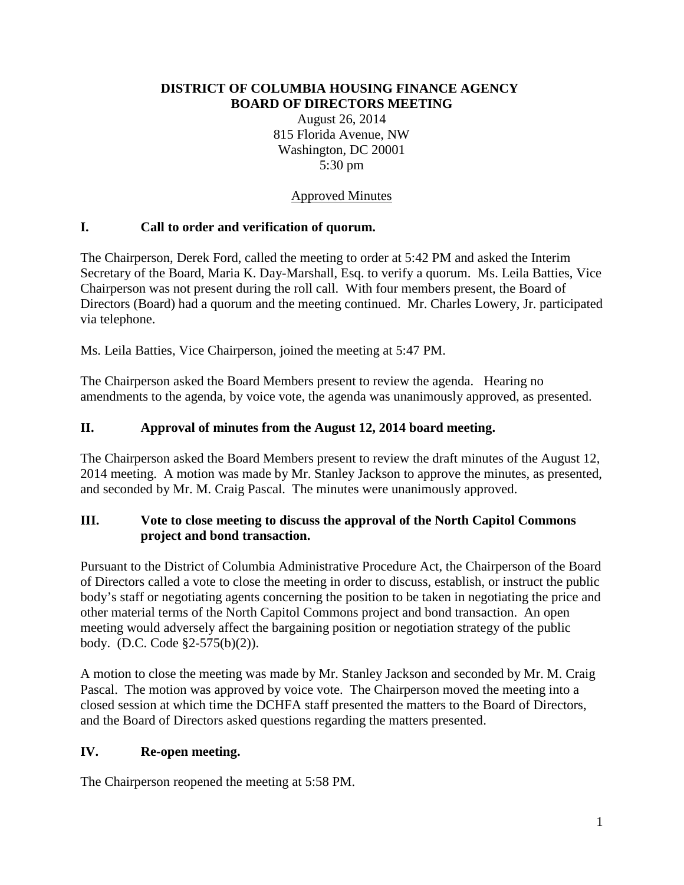#### **DISTRICT OF COLUMBIA HOUSING FINANCE AGENCY BOARD OF DIRECTORS MEETING**

August 26, 2014 815 Florida Avenue, NW Washington, DC 20001 5:30 pm

## Approved Minutes

## **I. Call to order and verification of quorum.**

The Chairperson, Derek Ford, called the meeting to order at 5:42 PM and asked the Interim Secretary of the Board, Maria K. Day-Marshall, Esq. to verify a quorum. Ms. Leila Batties, Vice Chairperson was not present during the roll call. With four members present, the Board of Directors (Board) had a quorum and the meeting continued. Mr. Charles Lowery, Jr. participated via telephone.

Ms. Leila Batties, Vice Chairperson, joined the meeting at 5:47 PM.

The Chairperson asked the Board Members present to review the agenda. Hearing no amendments to the agenda, by voice vote, the agenda was unanimously approved, as presented.

## **II. Approval of minutes from the August 12, 2014 board meeting.**

The Chairperson asked the Board Members present to review the draft minutes of the August 12, 2014 meeting. A motion was made by Mr. Stanley Jackson to approve the minutes, as presented, and seconded by Mr. M. Craig Pascal. The minutes were unanimously approved.

## **III. Vote to close meeting to discuss the approval of the North Capitol Commons project and bond transaction.**

Pursuant to the District of Columbia Administrative Procedure Act, the Chairperson of the Board of Directors called a vote to close the meeting in order to discuss, establish, or instruct the public body's staff or negotiating agents concerning the position to be taken in negotiating the price and other material terms of the North Capitol Commons project and bond transaction. An open meeting would adversely affect the bargaining position or negotiation strategy of the public body. (D.C. Code §2-575(b)(2)).

A motion to close the meeting was made by Mr. Stanley Jackson and seconded by Mr. M. Craig Pascal. The motion was approved by voice vote. The Chairperson moved the meeting into a closed session at which time the DCHFA staff presented the matters to the Board of Directors, and the Board of Directors asked questions regarding the matters presented.

#### **IV. Re-open meeting.**

The Chairperson reopened the meeting at 5:58 PM.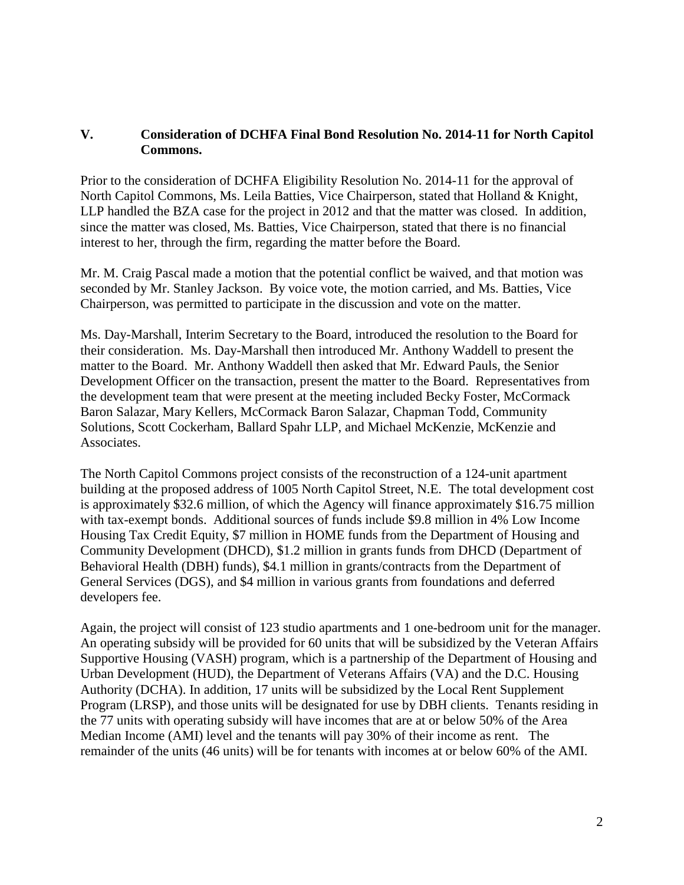#### **V. Consideration of DCHFA Final Bond Resolution No. 2014-11 for North Capitol Commons.**

Prior to the consideration of DCHFA Eligibility Resolution No. 2014-11 for the approval of North Capitol Commons, Ms. Leila Batties, Vice Chairperson, stated that Holland & Knight, LLP handled the BZA case for the project in 2012 and that the matter was closed. In addition, since the matter was closed, Ms. Batties, Vice Chairperson, stated that there is no financial interest to her, through the firm, regarding the matter before the Board.

Mr. M. Craig Pascal made a motion that the potential conflict be waived, and that motion was seconded by Mr. Stanley Jackson. By voice vote, the motion carried, and Ms. Batties, Vice Chairperson, was permitted to participate in the discussion and vote on the matter.

Ms. Day-Marshall, Interim Secretary to the Board, introduced the resolution to the Board for their consideration. Ms. Day-Marshall then introduced Mr. Anthony Waddell to present the matter to the Board. Mr. Anthony Waddell then asked that Mr. Edward Pauls, the Senior Development Officer on the transaction, present the matter to the Board. Representatives from the development team that were present at the meeting included Becky Foster, McCormack Baron Salazar, Mary Kellers, McCormack Baron Salazar, Chapman Todd, Community Solutions, Scott Cockerham, Ballard Spahr LLP, and Michael McKenzie, McKenzie and Associates.

The North Capitol Commons project consists of the reconstruction of a 124-unit apartment building at the proposed address of 1005 North Capitol Street, N.E. The total development cost is approximately \$32.6 million, of which the Agency will finance approximately \$16.75 million with tax-exempt bonds. Additional sources of funds include \$9.8 million in 4% Low Income Housing Tax Credit Equity, \$7 million in HOME funds from the Department of Housing and Community Development (DHCD), \$1.2 million in grants funds from DHCD (Department of Behavioral Health (DBH) funds), \$4.1 million in grants/contracts from the Department of General Services (DGS), and \$4 million in various grants from foundations and deferred developers fee.

Again, the project will consist of 123 studio apartments and 1 one-bedroom unit for the manager. An operating subsidy will be provided for 60 units that will be subsidized by the Veteran Affairs Supportive Housing (VASH) program, which is a partnership of the Department of Housing and Urban Development (HUD), the Department of Veterans Affairs (VA) and the D.C. Housing Authority (DCHA). In addition, 17 units will be subsidized by the Local Rent Supplement Program (LRSP), and those units will be designated for use by DBH clients. Tenants residing in the 77 units with operating subsidy will have incomes that are at or below 50% of the Area Median Income (AMI) level and the tenants will pay 30% of their income as rent. The remainder of the units (46 units) will be for tenants with incomes at or below 60% of the AMI.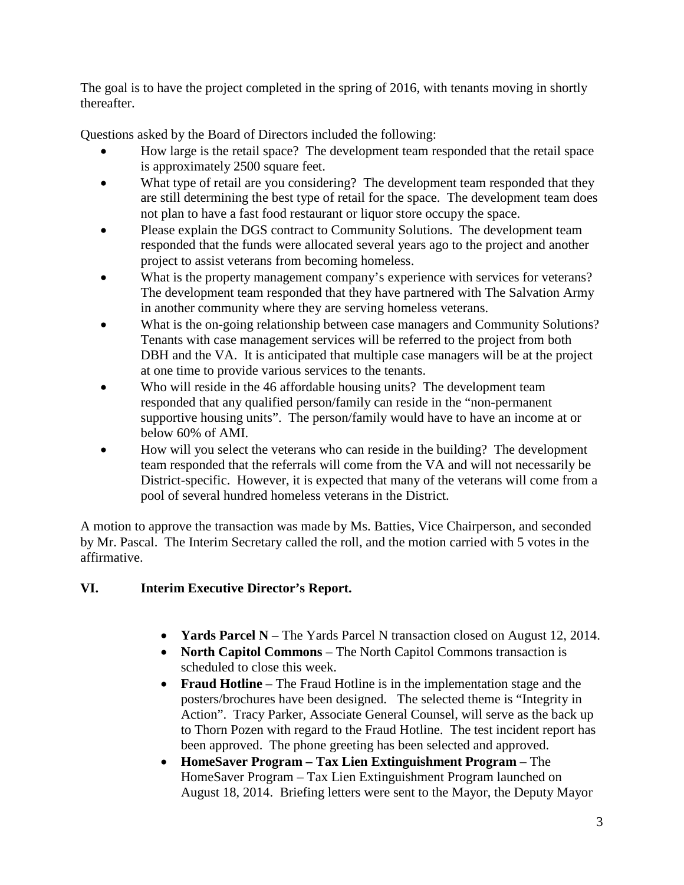The goal is to have the project completed in the spring of 2016, with tenants moving in shortly thereafter.

Questions asked by the Board of Directors included the following:

- How large is the retail space? The development team responded that the retail space is approximately 2500 square feet.
- What type of retail are you considering? The development team responded that they are still determining the best type of retail for the space. The development team does not plan to have a fast food restaurant or liquor store occupy the space.
- Please explain the DGS contract to Community Solutions. The development team responded that the funds were allocated several years ago to the project and another project to assist veterans from becoming homeless.
- What is the property management company's experience with services for veterans? The development team responded that they have partnered with The Salvation Army in another community where they are serving homeless veterans.
- What is the on-going relationship between case managers and Community Solutions? Tenants with case management services will be referred to the project from both DBH and the VA. It is anticipated that multiple case managers will be at the project at one time to provide various services to the tenants.
- Who will reside in the 46 affordable housing units? The development team responded that any qualified person/family can reside in the "non-permanent supportive housing units". The person/family would have to have an income at or below 60% of AMI.
- How will you select the veterans who can reside in the building? The development team responded that the referrals will come from the VA and will not necessarily be District-specific. However, it is expected that many of the veterans will come from a pool of several hundred homeless veterans in the District.

A motion to approve the transaction was made by Ms. Batties, Vice Chairperson, and seconded by Mr. Pascal. The Interim Secretary called the roll, and the motion carried with 5 votes in the affirmative.

# **VI. Interim Executive Director's Report.**

- **Yards Parcel N** The Yards Parcel N transaction closed on August 12, 2014.
- **North Capitol Commons** The North Capitol Commons transaction is scheduled to close this week.
- **Fraud Hotline** The Fraud Hotline is in the implementation stage and the posters/brochures have been designed. The selected theme is "Integrity in Action". Tracy Parker, Associate General Counsel, will serve as the back up to Thorn Pozen with regard to the Fraud Hotline. The test incident report has been approved. The phone greeting has been selected and approved.
- **HomeSaver Program – Tax Lien Extinguishment Program** The HomeSaver Program – Tax Lien Extinguishment Program launched on August 18, 2014. Briefing letters were sent to the Mayor, the Deputy Mayor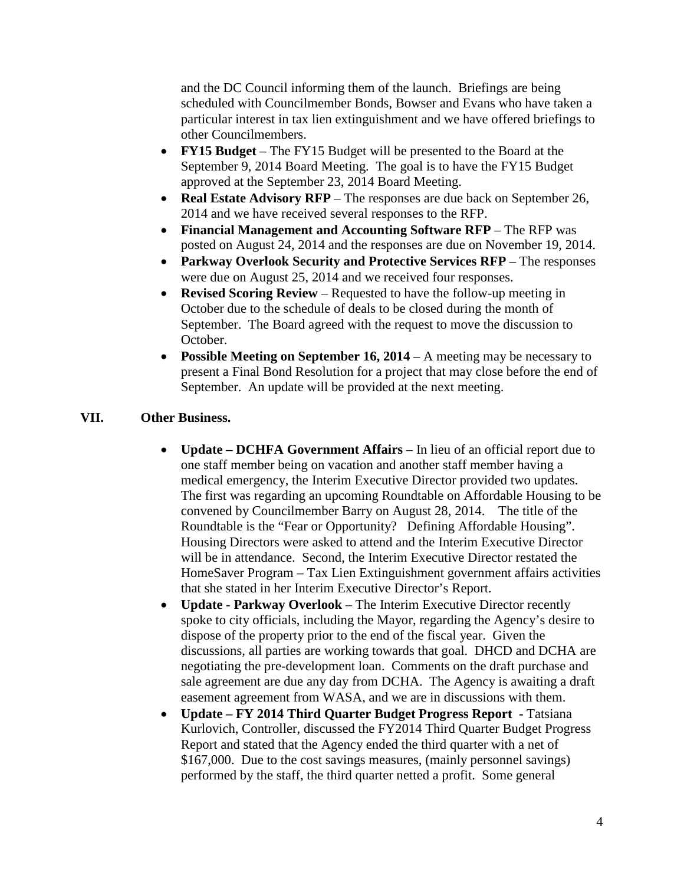and the DC Council informing them of the launch. Briefings are being scheduled with Councilmember Bonds, Bowser and Evans who have taken a particular interest in tax lien extinguishment and we have offered briefings to other Councilmembers.

- **FY15 Budget** The FY15 Budget will be presented to the Board at the September 9, 2014 Board Meeting. The goal is to have the FY15 Budget approved at the September 23, 2014 Board Meeting.
- **Real Estate Advisory RFP** The responses are due back on September 26, 2014 and we have received several responses to the RFP.
- **Financial Management and Accounting Software RFP** The RFP was posted on August 24, 2014 and the responses are due on November 19, 2014.
- **Parkway Overlook Security and Protective Services RFP** The responses were due on August 25, 2014 and we received four responses.
- **Revised Scoring Review** Requested to have the follow-up meeting in October due to the schedule of deals to be closed during the month of September. The Board agreed with the request to move the discussion to October.
- **Possible Meeting on September 16, 2014** A meeting may be necessary to present a Final Bond Resolution for a project that may close before the end of September. An update will be provided at the next meeting.

#### **VII. Other Business.**

- **Update – DCHFA Government Affairs** In lieu of an official report due to one staff member being on vacation and another staff member having a medical emergency, the Interim Executive Director provided two updates. The first was regarding an upcoming Roundtable on Affordable Housing to be convened by Councilmember Barry on August 28, 2014. The title of the Roundtable is the "Fear or Opportunity? Defining Affordable Housing". Housing Directors were asked to attend and the Interim Executive Director will be in attendance. Second, the Interim Executive Director restated the HomeSaver Program – Tax Lien Extinguishment government affairs activities that she stated in her Interim Executive Director's Report.
- **Update - Parkway Overlook** The Interim Executive Director recently spoke to city officials, including the Mayor, regarding the Agency's desire to dispose of the property prior to the end of the fiscal year. Given the discussions, all parties are working towards that goal. DHCD and DCHA are negotiating the pre-development loan. Comments on the draft purchase and sale agreement are due any day from DCHA. The Agency is awaiting a draft easement agreement from WASA, and we are in discussions with them.
- **Update – FY 2014 Third Quarter Budget Progress Report -** Tatsiana Kurlovich, Controller, discussed the FY2014 Third Quarter Budget Progress Report and stated that the Agency ended the third quarter with a net of \$167,000. Due to the cost savings measures, (mainly personnel savings) performed by the staff, the third quarter netted a profit. Some general